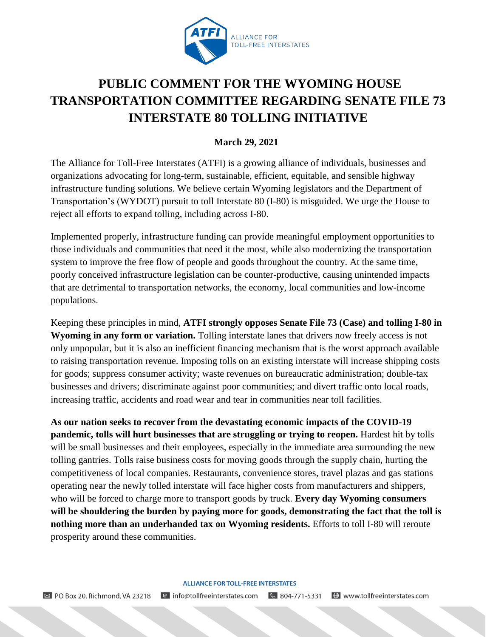

## **PUBLIC COMMENT FOR THE WYOMING HOUSE TRANSPORTATION COMMITTEE REGARDING SENATE FILE 73 INTERSTATE 80 TOLLING INITIATIVE**

**March 29, 2021**

The Alliance for Toll-Free Interstates (ATFI) is a growing alliance of individuals, businesses and organizations advocating for long-term, sustainable, efficient, equitable, and sensible highway infrastructure funding solutions. We believe certain Wyoming legislators and the Department of Transportation's (WYDOT) pursuit to toll Interstate 80 (I-80) is misguided. We urge the House to reject all efforts to expand tolling, including across I-80.

Implemented properly, infrastructure funding can provide meaningful employment opportunities to those individuals and communities that need it the most, while also modernizing the transportation system to improve the free flow of people and goods throughout the country. At the same time, poorly conceived infrastructure legislation can be counter-productive, causing unintended impacts that are detrimental to transportation networks, the economy, local communities and low-income populations.

Keeping these principles in mind, **ATFI strongly opposes Senate File 73 (Case) and tolling I-80 in Wyoming in any form or variation.** Tolling interstate lanes that drivers now freely access is not only unpopular, but it is also an inefficient financing mechanism that is the worst approach available to raising transportation revenue. Imposing tolls on an existing interstate will increase shipping costs for goods; suppress consumer activity; waste revenues on bureaucratic administration; double-tax businesses and drivers; discriminate against poor communities; and divert traffic onto local roads, increasing traffic, accidents and road wear and tear in communities near toll facilities.

**As our nation seeks to recover from the devastating economic impacts of the COVID-19 pandemic, tolls will hurt businesses that are struggling or trying to reopen.** Hardest hit by tolls will be small businesses and their employees, especially in the immediate area surrounding the new tolling gantries. Tolls raise business costs for moving goods through the supply chain, hurting the competitiveness of local companies. Restaurants, convenience stores, travel plazas and gas stations operating near the newly tolled interstate will face higher costs from manufacturers and shippers, who will be forced to charge more to transport goods by truck. **Every day Wyoming consumers will be shouldering the burden by paying more for goods, demonstrating the fact that the toll is nothing more than an underhanded tax on Wyoming residents.** Efforts to toll I-80 will reroute prosperity around these communities.

## **ALLIANCE FOR TOLL-FREE INTERSTATES**

**⊠** PO Box 20, Richmond, VA 23218 § 804-771-5331 e info@tollfreeinterstates.com  $\bigoplus$  www.tollfreeinterstates.com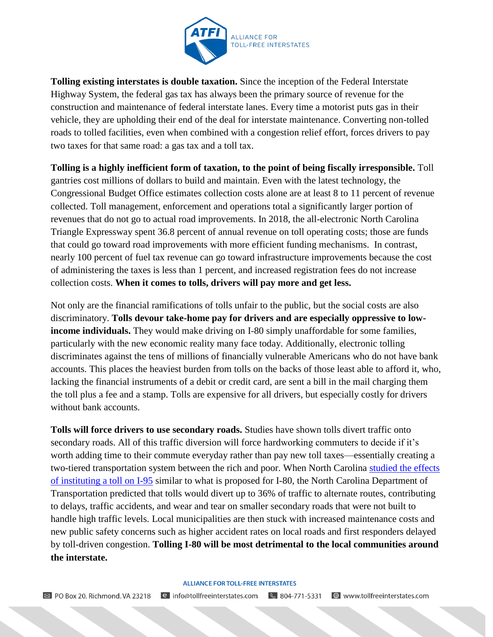

**Tolling existing interstates is double taxation.** Since the inception of the Federal Interstate Highway System, the federal gas tax has always been the primary source of revenue for the construction and maintenance of federal interstate lanes. Every time a motorist puts gas in their vehicle, they are upholding their end of the deal for interstate maintenance. Converting non-tolled roads to tolled facilities, even when combined with a congestion relief effort, forces drivers to pay two taxes for that same road: a gas tax and a toll tax.

**Tolling is a highly inefficient form of taxation, to the point of being fiscally irresponsible.** Toll gantries cost millions of dollars to build and maintain. Even with the latest technology, the Congressional Budget Office estimates collection costs alone are at least 8 to 11 percent of revenue collected. Toll management, enforcement and operations total a significantly larger portion of revenues that do not go to actual road improvements. In 2018, the all-electronic North Carolina Triangle Expressway spent 36.8 percent of annual revenue on toll operating costs; those are funds that could go toward road improvements with more efficient funding mechanisms. In contrast, nearly 100 percent of fuel tax revenue can go toward infrastructure improvements because the cost of administering the taxes is less than 1 percent, and increased registration fees do not increase collection costs. **When it comes to tolls, drivers will pay more and get less.** 

Not only are the financial ramifications of tolls unfair to the public, but the social costs are also discriminatory. **Tolls devour take-home pay for drivers and are especially oppressive to lowincome individuals.** They would make driving on I-80 simply unaffordable for some families, particularly with the new economic reality many face today. Additionally, electronic tolling discriminates against the tens of millions of financially vulnerable Americans who do not have bank accounts. This places the heaviest burden from tolls on the backs of those least able to afford it, who, lacking the financial instruments of a debit or credit card, are sent a bill in the mail charging them the toll plus a fee and a stamp. Tolls are expensive for all drivers, but especially costly for drivers without bank accounts.

**Tolls will force drivers to use secondary roads.** Studies have shown tolls divert traffic onto secondary roads. All of this traffic diversion will force hardworking commuters to decide if it's worth adding time to their commute everyday rather than pay new toll taxes—essentially creating a two-tiered transportation system between the rich and poor. When North Carolina [studied the effects](https://connect.ncdot.gov/projects/Pages/Driving-95.aspx)  [of instituting a toll on I-95](https://connect.ncdot.gov/projects/Pages/Driving-95.aspx) similar to what is proposed for I-80, the North Carolina Department of Transportation predicted that tolls would divert up to 36% of traffic to alternate routes, contributing to delays, traffic accidents, and wear and tear on smaller secondary roads that were not built to handle high traffic levels. Local municipalities are then stuck with increased maintenance costs and new public safety concerns such as higher accident rates on local roads and first responders delayed by toll-driven congestion. **Tolling I-80 will be most detrimental to the local communities around the interstate.**

## **ALLIANCE FOR TOLL-FREE INTERSTATES**

**⊠** PO Box 20, Richmond, VA 23218 § 804-771-5331 **⊕** www.tollfreeinterstates.com e info@tollfreeinterstates.com